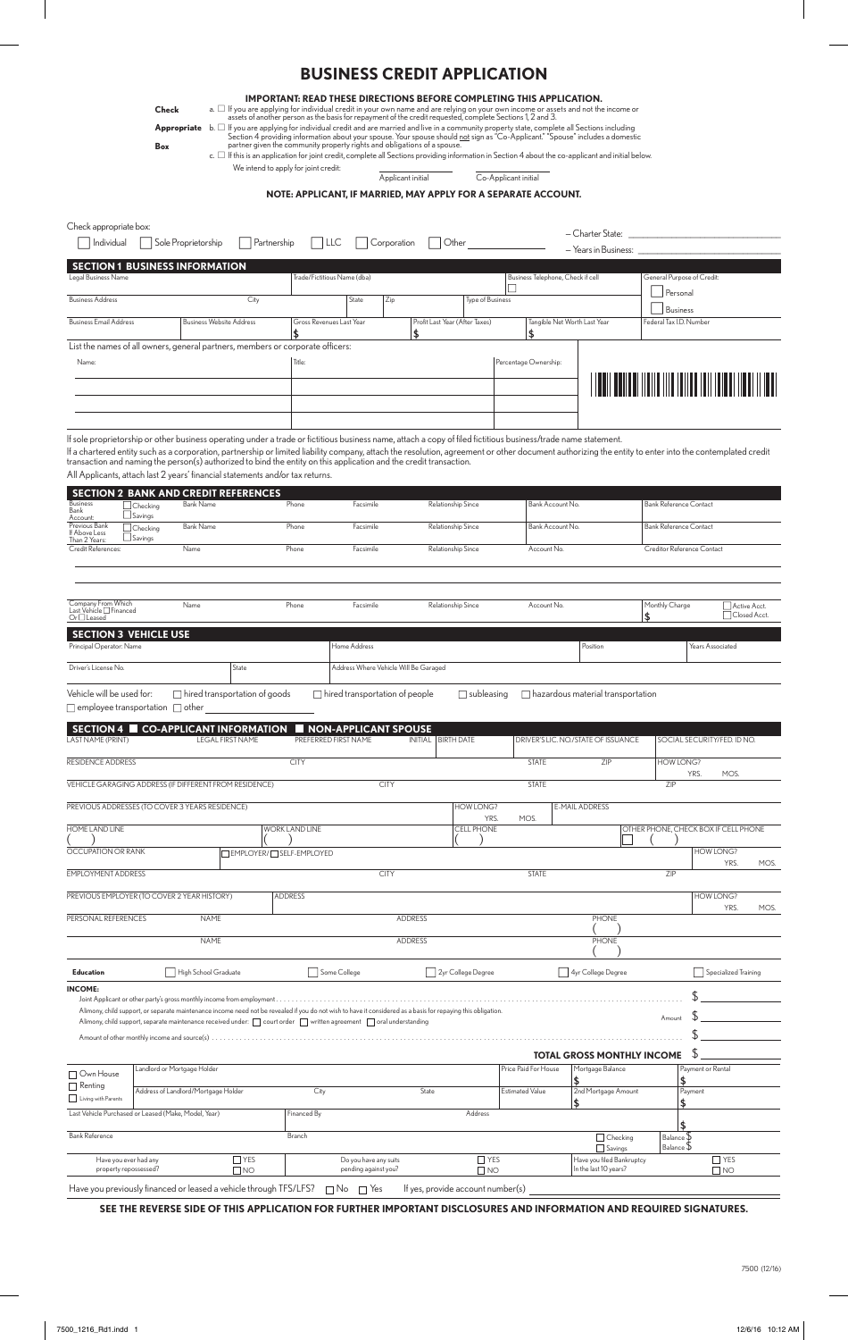## **BUSINESS CREDIT APPLICATION**

| <b>IMPORTANT: READ THESE DIRECTIONS BEFORE COMPLETING THIS APPLICATION.</b> |  |
|-----------------------------------------------------------------------------|--|
|-----------------------------------------------------------------------------|--|

a.  $\Box$  If you are applying for individual credit in your own name and are relying on your own income or assets and not the income or<br>assets of another person as the basis for repayment of the credit requested, complete S

**Appropriate** b.  $\Box$  If you are applying for individual credit and are married and live in a community property state, complete all Sections including<br>Section 4 providing information about your spouse. Your spouse should

We intend to apply for joint credit:

c. ∏ If this is an application for joint credit, complete all Sections providing information in Section 4 about the co-applicant and initial below.

Applicant initial Co-Applicant initial

**NOTE: APPLICANT, IF MARRIED, MAY APPLY FOR A SEPARATE ACCOUNT.** 

| Sole Proprietorship<br>Partnership<br>Corporation<br>Other<br>  Individual<br><b>ILLC</b><br>- Years in Business:<br><b>SECTION 1 BUSINESS INFORMATION</b><br>Trade/Fictitious Name (dba)<br>General Purpose of Credit:<br>Legal Business Name<br>Business Telephone, Check if cell<br>Personal<br><b>Business Address</b><br>City<br>State<br>Zip<br><b>Type of Business</b><br><b>Business</b><br>Tangible Net Worth Last Year<br><b>Business Email Address</b><br><b>Business Website Address</b><br>Gross Revenues Last Year<br>Profit Last Year (After Taxes)<br>Federal Tax I.D. Number<br>\$<br>\$<br>List the names of all owners, general partners, members or corporate officers:<br>Title:<br>Percentage Ownership:<br>Name:<br>If sole proprietorship or other business operating under a trade or fictitious business name, attach a copy of filed fictitious business/trade name statement.<br>If a chartered entity such as a corporation, partnership or limited liability company, attach the resolution, agreement or other document authorizing the entity to enter into the contemplated credit<br>transaction and naming the person(s) authorized to bind the entity on this application and the credit transaction.<br>All Applicants, attach last 2 years' financial statements and/or tax returns.<br><b>SECTION 2 BANK AND CREDIT REFERENCES</b><br><b>Business</b><br><b>Bank Name</b><br>Phone<br>Relationship Since<br><b>Bank Reference Contact</b><br>Facsimile<br>Bank Account No.<br>Checking<br>Bank<br>$\sqcup$ Savings<br>Account:<br>Previous Bank<br><b>Bank Name</b><br>Phone<br>Relationship Since<br><b>Bank Reference Contact</b><br>Facsimile<br>Bank Account No.<br>Checking<br>If Above Less<br>$\sqcup$ Savings<br>Than 2 Years:<br>Credit References:<br>Creditor Reference Contact<br>Name<br>Phone<br>Facsimile<br>Relationship Since<br>Account No.<br>Company From Which<br>Last Vehicle □ Financed<br>Phone<br>Relationship Since<br>Monthly Charge<br>Name<br>Facsimile<br>Account No.<br>Active Acct.<br>Closed Acct.<br>\$<br>$Or \Box$ Leased<br><b>SECTION 3 VEHICLE USE</b><br>Principal Operator: Name<br>Home Address<br>Position<br>Years Associated<br>Address Where Vehicle Will Be Garaged<br>Driver's License No.<br>State<br>Vehicle will be used for:<br>$\Box$ hired transportation of goods<br>$\Box$ hired transportation of people<br>$\Box$ hazardous material transportation<br>$\Box$ subleasing<br>$\Box$ employee transportation $\Box$ other<br><b>CO-APPLICANT INFORMATION</b><br><b>SECTION 4</b><br><b>NON-APPLICANT SPOUSE</b><br>LAST NAME (PRINT)<br><b>LEGAL FIRST NAME</b><br>PREFERRED FIRST NAME<br>INITIAL   BIRTH DATE<br>DRIVER'S LIC. NO./STATE OF ISSUANCE<br>SOCIAL SECURITY/FED. ID NO.<br>RESIDENCE ADDRESS<br><b>HOW LONG?</b><br><b>CITY</b><br><b>STATE</b><br>∠⊩ |  |  |  |  |
|--------------------------------------------------------------------------------------------------------------------------------------------------------------------------------------------------------------------------------------------------------------------------------------------------------------------------------------------------------------------------------------------------------------------------------------------------------------------------------------------------------------------------------------------------------------------------------------------------------------------------------------------------------------------------------------------------------------------------------------------------------------------------------------------------------------------------------------------------------------------------------------------------------------------------------------------------------------------------------------------------------------------------------------------------------------------------------------------------------------------------------------------------------------------------------------------------------------------------------------------------------------------------------------------------------------------------------------------------------------------------------------------------------------------------------------------------------------------------------------------------------------------------------------------------------------------------------------------------------------------------------------------------------------------------------------------------------------------------------------------------------------------------------------------------------------------------------------------------------------------------------------------------------------------------------------------------------------------------------------------------------------------------------------------------------------------------------------------------------------------------------------------------------------------------------------------------------------------------------------------------------------------------------------------------------------------------------------------------------------------------------------------------------------------------------------------------------------------------------------------------------------------------------------------------------------------------------------------------------------------------------------------------------------------------------------------------------------------------------------------------------------------------------------------------------------------------------------------------------------------|--|--|--|--|
|                                                                                                                                                                                                                                                                                                                                                                                                                                                                                                                                                                                                                                                                                                                                                                                                                                                                                                                                                                                                                                                                                                                                                                                                                                                                                                                                                                                                                                                                                                                                                                                                                                                                                                                                                                                                                                                                                                                                                                                                                                                                                                                                                                                                                                                                                                                                                                                                                                                                                                                                                                                                                                                                                                                                                                                                                                                                    |  |  |  |  |
|                                                                                                                                                                                                                                                                                                                                                                                                                                                                                                                                                                                                                                                                                                                                                                                                                                                                                                                                                                                                                                                                                                                                                                                                                                                                                                                                                                                                                                                                                                                                                                                                                                                                                                                                                                                                                                                                                                                                                                                                                                                                                                                                                                                                                                                                                                                                                                                                                                                                                                                                                                                                                                                                                                                                                                                                                                                                    |  |  |  |  |
|                                                                                                                                                                                                                                                                                                                                                                                                                                                                                                                                                                                                                                                                                                                                                                                                                                                                                                                                                                                                                                                                                                                                                                                                                                                                                                                                                                                                                                                                                                                                                                                                                                                                                                                                                                                                                                                                                                                                                                                                                                                                                                                                                                                                                                                                                                                                                                                                                                                                                                                                                                                                                                                                                                                                                                                                                                                                    |  |  |  |  |
|                                                                                                                                                                                                                                                                                                                                                                                                                                                                                                                                                                                                                                                                                                                                                                                                                                                                                                                                                                                                                                                                                                                                                                                                                                                                                                                                                                                                                                                                                                                                                                                                                                                                                                                                                                                                                                                                                                                                                                                                                                                                                                                                                                                                                                                                                                                                                                                                                                                                                                                                                                                                                                                                                                                                                                                                                                                                    |  |  |  |  |
|                                                                                                                                                                                                                                                                                                                                                                                                                                                                                                                                                                                                                                                                                                                                                                                                                                                                                                                                                                                                                                                                                                                                                                                                                                                                                                                                                                                                                                                                                                                                                                                                                                                                                                                                                                                                                                                                                                                                                                                                                                                                                                                                                                                                                                                                                                                                                                                                                                                                                                                                                                                                                                                                                                                                                                                                                                                                    |  |  |  |  |
|                                                                                                                                                                                                                                                                                                                                                                                                                                                                                                                                                                                                                                                                                                                                                                                                                                                                                                                                                                                                                                                                                                                                                                                                                                                                                                                                                                                                                                                                                                                                                                                                                                                                                                                                                                                                                                                                                                                                                                                                                                                                                                                                                                                                                                                                                                                                                                                                                                                                                                                                                                                                                                                                                                                                                                                                                                                                    |  |  |  |  |
|                                                                                                                                                                                                                                                                                                                                                                                                                                                                                                                                                                                                                                                                                                                                                                                                                                                                                                                                                                                                                                                                                                                                                                                                                                                                                                                                                                                                                                                                                                                                                                                                                                                                                                                                                                                                                                                                                                                                                                                                                                                                                                                                                                                                                                                                                                                                                                                                                                                                                                                                                                                                                                                                                                                                                                                                                                                                    |  |  |  |  |
|                                                                                                                                                                                                                                                                                                                                                                                                                                                                                                                                                                                                                                                                                                                                                                                                                                                                                                                                                                                                                                                                                                                                                                                                                                                                                                                                                                                                                                                                                                                                                                                                                                                                                                                                                                                                                                                                                                                                                                                                                                                                                                                                                                                                                                                                                                                                                                                                                                                                                                                                                                                                                                                                                                                                                                                                                                                                    |  |  |  |  |
|                                                                                                                                                                                                                                                                                                                                                                                                                                                                                                                                                                                                                                                                                                                                                                                                                                                                                                                                                                                                                                                                                                                                                                                                                                                                                                                                                                                                                                                                                                                                                                                                                                                                                                                                                                                                                                                                                                                                                                                                                                                                                                                                                                                                                                                                                                                                                                                                                                                                                                                                                                                                                                                                                                                                                                                                                                                                    |  |  |  |  |
|                                                                                                                                                                                                                                                                                                                                                                                                                                                                                                                                                                                                                                                                                                                                                                                                                                                                                                                                                                                                                                                                                                                                                                                                                                                                                                                                                                                                                                                                                                                                                                                                                                                                                                                                                                                                                                                                                                                                                                                                                                                                                                                                                                                                                                                                                                                                                                                                                                                                                                                                                                                                                                                                                                                                                                                                                                                                    |  |  |  |  |
|                                                                                                                                                                                                                                                                                                                                                                                                                                                                                                                                                                                                                                                                                                                                                                                                                                                                                                                                                                                                                                                                                                                                                                                                                                                                                                                                                                                                                                                                                                                                                                                                                                                                                                                                                                                                                                                                                                                                                                                                                                                                                                                                                                                                                                                                                                                                                                                                                                                                                                                                                                                                                                                                                                                                                                                                                                                                    |  |  |  |  |
|                                                                                                                                                                                                                                                                                                                                                                                                                                                                                                                                                                                                                                                                                                                                                                                                                                                                                                                                                                                                                                                                                                                                                                                                                                                                                                                                                                                                                                                                                                                                                                                                                                                                                                                                                                                                                                                                                                                                                                                                                                                                                                                                                                                                                                                                                                                                                                                                                                                                                                                                                                                                                                                                                                                                                                                                                                                                    |  |  |  |  |
|                                                                                                                                                                                                                                                                                                                                                                                                                                                                                                                                                                                                                                                                                                                                                                                                                                                                                                                                                                                                                                                                                                                                                                                                                                                                                                                                                                                                                                                                                                                                                                                                                                                                                                                                                                                                                                                                                                                                                                                                                                                                                                                                                                                                                                                                                                                                                                                                                                                                                                                                                                                                                                                                                                                                                                                                                                                                    |  |  |  |  |
|                                                                                                                                                                                                                                                                                                                                                                                                                                                                                                                                                                                                                                                                                                                                                                                                                                                                                                                                                                                                                                                                                                                                                                                                                                                                                                                                                                                                                                                                                                                                                                                                                                                                                                                                                                                                                                                                                                                                                                                                                                                                                                                                                                                                                                                                                                                                                                                                                                                                                                                                                                                                                                                                                                                                                                                                                                                                    |  |  |  |  |
|                                                                                                                                                                                                                                                                                                                                                                                                                                                                                                                                                                                                                                                                                                                                                                                                                                                                                                                                                                                                                                                                                                                                                                                                                                                                                                                                                                                                                                                                                                                                                                                                                                                                                                                                                                                                                                                                                                                                                                                                                                                                                                                                                                                                                                                                                                                                                                                                                                                                                                                                                                                                                                                                                                                                                                                                                                                                    |  |  |  |  |
|                                                                                                                                                                                                                                                                                                                                                                                                                                                                                                                                                                                                                                                                                                                                                                                                                                                                                                                                                                                                                                                                                                                                                                                                                                                                                                                                                                                                                                                                                                                                                                                                                                                                                                                                                                                                                                                                                                                                                                                                                                                                                                                                                                                                                                                                                                                                                                                                                                                                                                                                                                                                                                                                                                                                                                                                                                                                    |  |  |  |  |
|                                                                                                                                                                                                                                                                                                                                                                                                                                                                                                                                                                                                                                                                                                                                                                                                                                                                                                                                                                                                                                                                                                                                                                                                                                                                                                                                                                                                                                                                                                                                                                                                                                                                                                                                                                                                                                                                                                                                                                                                                                                                                                                                                                                                                                                                                                                                                                                                                                                                                                                                                                                                                                                                                                                                                                                                                                                                    |  |  |  |  |
|                                                                                                                                                                                                                                                                                                                                                                                                                                                                                                                                                                                                                                                                                                                                                                                                                                                                                                                                                                                                                                                                                                                                                                                                                                                                                                                                                                                                                                                                                                                                                                                                                                                                                                                                                                                                                                                                                                                                                                                                                                                                                                                                                                                                                                                                                                                                                                                                                                                                                                                                                                                                                                                                                                                                                                                                                                                                    |  |  |  |  |
|                                                                                                                                                                                                                                                                                                                                                                                                                                                                                                                                                                                                                                                                                                                                                                                                                                                                                                                                                                                                                                                                                                                                                                                                                                                                                                                                                                                                                                                                                                                                                                                                                                                                                                                                                                                                                                                                                                                                                                                                                                                                                                                                                                                                                                                                                                                                                                                                                                                                                                                                                                                                                                                                                                                                                                                                                                                                    |  |  |  |  |
|                                                                                                                                                                                                                                                                                                                                                                                                                                                                                                                                                                                                                                                                                                                                                                                                                                                                                                                                                                                                                                                                                                                                                                                                                                                                                                                                                                                                                                                                                                                                                                                                                                                                                                                                                                                                                                                                                                                                                                                                                                                                                                                                                                                                                                                                                                                                                                                                                                                                                                                                                                                                                                                                                                                                                                                                                                                                    |  |  |  |  |
|                                                                                                                                                                                                                                                                                                                                                                                                                                                                                                                                                                                                                                                                                                                                                                                                                                                                                                                                                                                                                                                                                                                                                                                                                                                                                                                                                                                                                                                                                                                                                                                                                                                                                                                                                                                                                                                                                                                                                                                                                                                                                                                                                                                                                                                                                                                                                                                                                                                                                                                                                                                                                                                                                                                                                                                                                                                                    |  |  |  |  |
|                                                                                                                                                                                                                                                                                                                                                                                                                                                                                                                                                                                                                                                                                                                                                                                                                                                                                                                                                                                                                                                                                                                                                                                                                                                                                                                                                                                                                                                                                                                                                                                                                                                                                                                                                                                                                                                                                                                                                                                                                                                                                                                                                                                                                                                                                                                                                                                                                                                                                                                                                                                                                                                                                                                                                                                                                                                                    |  |  |  |  |
|                                                                                                                                                                                                                                                                                                                                                                                                                                                                                                                                                                                                                                                                                                                                                                                                                                                                                                                                                                                                                                                                                                                                                                                                                                                                                                                                                                                                                                                                                                                                                                                                                                                                                                                                                                                                                                                                                                                                                                                                                                                                                                                                                                                                                                                                                                                                                                                                                                                                                                                                                                                                                                                                                                                                                                                                                                                                    |  |  |  |  |
|                                                                                                                                                                                                                                                                                                                                                                                                                                                                                                                                                                                                                                                                                                                                                                                                                                                                                                                                                                                                                                                                                                                                                                                                                                                                                                                                                                                                                                                                                                                                                                                                                                                                                                                                                                                                                                                                                                                                                                                                                                                                                                                                                                                                                                                                                                                                                                                                                                                                                                                                                                                                                                                                                                                                                                                                                                                                    |  |  |  |  |
| YRS.<br>MOS.                                                                                                                                                                                                                                                                                                                                                                                                                                                                                                                                                                                                                                                                                                                                                                                                                                                                                                                                                                                                                                                                                                                                                                                                                                                                                                                                                                                                                                                                                                                                                                                                                                                                                                                                                                                                                                                                                                                                                                                                                                                                                                                                                                                                                                                                                                                                                                                                                                                                                                                                                                                                                                                                                                                                                                                                                                                       |  |  |  |  |
| VEHICLE GARAGING ADDRESS (IF DIFFERENT FROM RESIDENCE)<br><b>CITY</b><br><b>STATE</b><br>ZIP                                                                                                                                                                                                                                                                                                                                                                                                                                                                                                                                                                                                                                                                                                                                                                                                                                                                                                                                                                                                                                                                                                                                                                                                                                                                                                                                                                                                                                                                                                                                                                                                                                                                                                                                                                                                                                                                                                                                                                                                                                                                                                                                                                                                                                                                                                                                                                                                                                                                                                                                                                                                                                                                                                                                                                       |  |  |  |  |
| PREVIOUS ADDRESSES (TO COVER 3 YEARS RESIDENCE)<br><b>HOW LONG?</b><br>E-MAIL ADDRESS<br>YRS.<br>MOS.                                                                                                                                                                                                                                                                                                                                                                                                                                                                                                                                                                                                                                                                                                                                                                                                                                                                                                                                                                                                                                                                                                                                                                                                                                                                                                                                                                                                                                                                                                                                                                                                                                                                                                                                                                                                                                                                                                                                                                                                                                                                                                                                                                                                                                                                                                                                                                                                                                                                                                                                                                                                                                                                                                                                                              |  |  |  |  |
| HOME LAND LINE<br><b>WORK LAND LINE</b><br><b>CELL PHONE</b><br>OTHER PHONE, CHECK BOX IF CELL PHONE                                                                                                                                                                                                                                                                                                                                                                                                                                                                                                                                                                                                                                                                                                                                                                                                                                                                                                                                                                                                                                                                                                                                                                                                                                                                                                                                                                                                                                                                                                                                                                                                                                                                                                                                                                                                                                                                                                                                                                                                                                                                                                                                                                                                                                                                                                                                                                                                                                                                                                                                                                                                                                                                                                                                                               |  |  |  |  |
| OCCUPATION OR RANK<br><b>HOW LONG?</b><br>EMPLOYER/ SELF-EMPLOYED<br>YRS.                                                                                                                                                                                                                                                                                                                                                                                                                                                                                                                                                                                                                                                                                                                                                                                                                                                                                                                                                                                                                                                                                                                                                                                                                                                                                                                                                                                                                                                                                                                                                                                                                                                                                                                                                                                                                                                                                                                                                                                                                                                                                                                                                                                                                                                                                                                                                                                                                                                                                                                                                                                                                                                                                                                                                                                          |  |  |  |  |
| MOS.<br><b>EMPLOYMENT ADDRESS</b><br><b>CITY</b><br><b>STATE</b><br>ZIP                                                                                                                                                                                                                                                                                                                                                                                                                                                                                                                                                                                                                                                                                                                                                                                                                                                                                                                                                                                                                                                                                                                                                                                                                                                                                                                                                                                                                                                                                                                                                                                                                                                                                                                                                                                                                                                                                                                                                                                                                                                                                                                                                                                                                                                                                                                                                                                                                                                                                                                                                                                                                                                                                                                                                                                            |  |  |  |  |
| PREVIOUS EMPLOYER (TO COVER 2 YEAR HISTORY)<br><b>ADDRESS</b><br><b>HOW LONG?</b>                                                                                                                                                                                                                                                                                                                                                                                                                                                                                                                                                                                                                                                                                                                                                                                                                                                                                                                                                                                                                                                                                                                                                                                                                                                                                                                                                                                                                                                                                                                                                                                                                                                                                                                                                                                                                                                                                                                                                                                                                                                                                                                                                                                                                                                                                                                                                                                                                                                                                                                                                                                                                                                                                                                                                                                  |  |  |  |  |
| YRS.<br>MOS.<br>PERSONAL REFERENCES<br><b>NAME</b><br>ADDRESS<br><b>PHONE</b>                                                                                                                                                                                                                                                                                                                                                                                                                                                                                                                                                                                                                                                                                                                                                                                                                                                                                                                                                                                                                                                                                                                                                                                                                                                                                                                                                                                                                                                                                                                                                                                                                                                                                                                                                                                                                                                                                                                                                                                                                                                                                                                                                                                                                                                                                                                                                                                                                                                                                                                                                                                                                                                                                                                                                                                      |  |  |  |  |
| <b>NAME</b><br><b>ADDRESS</b><br><b>PHONE</b>                                                                                                                                                                                                                                                                                                                                                                                                                                                                                                                                                                                                                                                                                                                                                                                                                                                                                                                                                                                                                                                                                                                                                                                                                                                                                                                                                                                                                                                                                                                                                                                                                                                                                                                                                                                                                                                                                                                                                                                                                                                                                                                                                                                                                                                                                                                                                                                                                                                                                                                                                                                                                                                                                                                                                                                                                      |  |  |  |  |
|                                                                                                                                                                                                                                                                                                                                                                                                                                                                                                                                                                                                                                                                                                                                                                                                                                                                                                                                                                                                                                                                                                                                                                                                                                                                                                                                                                                                                                                                                                                                                                                                                                                                                                                                                                                                                                                                                                                                                                                                                                                                                                                                                                                                                                                                                                                                                                                                                                                                                                                                                                                                                                                                                                                                                                                                                                                                    |  |  |  |  |
| High School Graduate<br>Some College<br>2yr College Degree<br>4yr College Degree<br>Specialized Training<br><b>Education</b>                                                                                                                                                                                                                                                                                                                                                                                                                                                                                                                                                                                                                                                                                                                                                                                                                                                                                                                                                                                                                                                                                                                                                                                                                                                                                                                                                                                                                                                                                                                                                                                                                                                                                                                                                                                                                                                                                                                                                                                                                                                                                                                                                                                                                                                                                                                                                                                                                                                                                                                                                                                                                                                                                                                                       |  |  |  |  |
| <b>INCOME:</b>                                                                                                                                                                                                                                                                                                                                                                                                                                                                                                                                                                                                                                                                                                                                                                                                                                                                                                                                                                                                                                                                                                                                                                                                                                                                                                                                                                                                                                                                                                                                                                                                                                                                                                                                                                                                                                                                                                                                                                                                                                                                                                                                                                                                                                                                                                                                                                                                                                                                                                                                                                                                                                                                                                                                                                                                                                                     |  |  |  |  |
| Alimony, child support, or separate maintenance income need not be revealed if you do not wish to have it considered as a basis for repaying this obligation.<br>Amount<br>Alimony, child support, separate maintenance received under: court order written agreement coral understanding                                                                                                                                                                                                                                                                                                                                                                                                                                                                                                                                                                                                                                                                                                                                                                                                                                                                                                                                                                                                                                                                                                                                                                                                                                                                                                                                                                                                                                                                                                                                                                                                                                                                                                                                                                                                                                                                                                                                                                                                                                                                                                                                                                                                                                                                                                                                                                                                                                                                                                                                                                          |  |  |  |  |
|                                                                                                                                                                                                                                                                                                                                                                                                                                                                                                                                                                                                                                                                                                                                                                                                                                                                                                                                                                                                                                                                                                                                                                                                                                                                                                                                                                                                                                                                                                                                                                                                                                                                                                                                                                                                                                                                                                                                                                                                                                                                                                                                                                                                                                                                                                                                                                                                                                                                                                                                                                                                                                                                                                                                                                                                                                                                    |  |  |  |  |
| P<br><b>TOTAL GROSS MONTHLY INCOME</b>                                                                                                                                                                                                                                                                                                                                                                                                                                                                                                                                                                                                                                                                                                                                                                                                                                                                                                                                                                                                                                                                                                                                                                                                                                                                                                                                                                                                                                                                                                                                                                                                                                                                                                                                                                                                                                                                                                                                                                                                                                                                                                                                                                                                                                                                                                                                                                                                                                                                                                                                                                                                                                                                                                                                                                                                                             |  |  |  |  |
| Landlord or Mortgage Holder<br>Price Paid For House<br>Mortgage Balance<br>Payment or Rental<br>Own House<br>\$<br>$\Box$ Renting                                                                                                                                                                                                                                                                                                                                                                                                                                                                                                                                                                                                                                                                                                                                                                                                                                                                                                                                                                                                                                                                                                                                                                                                                                                                                                                                                                                                                                                                                                                                                                                                                                                                                                                                                                                                                                                                                                                                                                                                                                                                                                                                                                                                                                                                                                                                                                                                                                                                                                                                                                                                                                                                                                                                  |  |  |  |  |
| Address of Landlord/Mortgage Holder<br>City<br>State<br><b>Estimated Value</b><br>2nd Mortgage Amount<br>Payment<br>Living with Parents<br>\$<br>\$                                                                                                                                                                                                                                                                                                                                                                                                                                                                                                                                                                                                                                                                                                                                                                                                                                                                                                                                                                                                                                                                                                                                                                                                                                                                                                                                                                                                                                                                                                                                                                                                                                                                                                                                                                                                                                                                                                                                                                                                                                                                                                                                                                                                                                                                                                                                                                                                                                                                                                                                                                                                                                                                                                                |  |  |  |  |
| Last Vehicle Purchased or Leased (Make, Model, Year)<br>Financed By<br>Address<br>\$                                                                                                                                                                                                                                                                                                                                                                                                                                                                                                                                                                                                                                                                                                                                                                                                                                                                                                                                                                                                                                                                                                                                                                                                                                                                                                                                                                                                                                                                                                                                                                                                                                                                                                                                                                                                                                                                                                                                                                                                                                                                                                                                                                                                                                                                                                                                                                                                                                                                                                                                                                                                                                                                                                                                                                               |  |  |  |  |
| <b>Bank Reference</b><br>Branch<br>Balance \$<br>$\Box$ Checking<br>Balance \$<br>Savings                                                                                                                                                                                                                                                                                                                                                                                                                                                                                                                                                                                                                                                                                                                                                                                                                                                                                                                                                                                                                                                                                                                                                                                                                                                                                                                                                                                                                                                                                                                                                                                                                                                                                                                                                                                                                                                                                                                                                                                                                                                                                                                                                                                                                                                                                                                                                                                                                                                                                                                                                                                                                                                                                                                                                                          |  |  |  |  |
| $\Box$ YES<br>Have you filed Bankruptcy<br>$\Box$ YES<br>Have you ever had any<br>$\Box$ YES<br>Do you have any suits<br>In the last 10 years?<br>property repossessed?<br>pending against you?                                                                                                                                                                                                                                                                                                                                                                                                                                                                                                                                                                                                                                                                                                                                                                                                                                                                                                                                                                                                                                                                                                                                                                                                                                                                                                                                                                                                                                                                                                                                                                                                                                                                                                                                                                                                                                                                                                                                                                                                                                                                                                                                                                                                                                                                                                                                                                                                                                                                                                                                                                                                                                                                    |  |  |  |  |
| $\Box$ NO<br>$\Box$ NO<br>$\Box$ NO<br>Have you previously financed or leased a vehicle through TFS/LFS?<br>$\Box$ No $\Box$ Yes<br>If yes, provide account number(s)                                                                                                                                                                                                                                                                                                                                                                                                                                                                                                                                                                                                                                                                                                                                                                                                                                                                                                                                                                                                                                                                                                                                                                                                                                                                                                                                                                                                                                                                                                                                                                                                                                                                                                                                                                                                                                                                                                                                                                                                                                                                                                                                                                                                                                                                                                                                                                                                                                                                                                                                                                                                                                                                                              |  |  |  |  |

**SEE THE REVERSE SIDE OF THIS APPLICATION FOR FURTHER IMPORTANT DISCLOSURES AND INFORMATION AND REQUIRED SIGNATURES.**